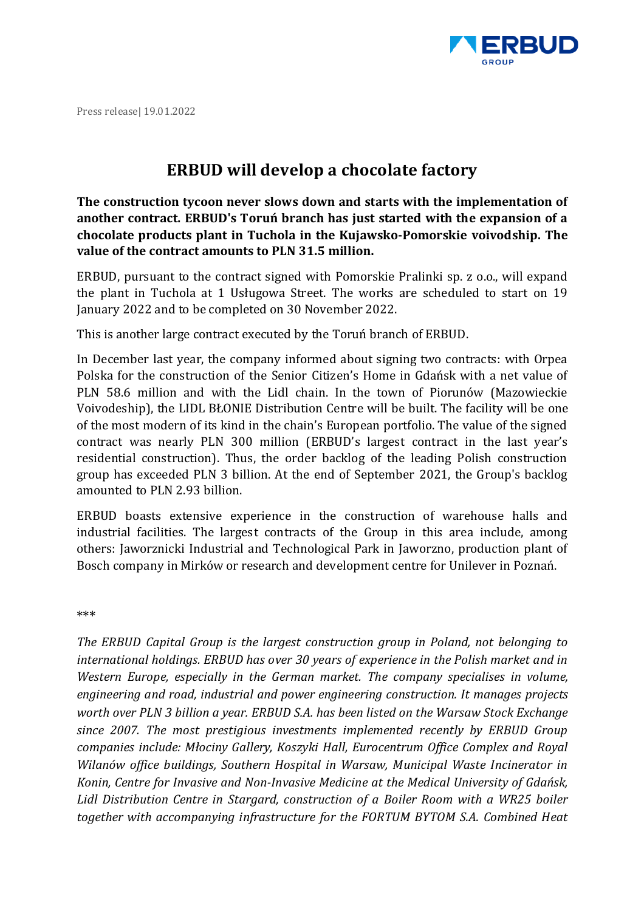

Press release| 19.01.2022

## **ERBUD will develop a chocolate factory**

**The construction tycoon never slows down and starts with the implementation of another contract. ERBUD's Toruń branch has just started with the expansion of a chocolate products plant in Tuchola in the Kujawsko-Pomorskie voivodship. The value of the contract amounts to PLN 31.5 million.** 

ERBUD, pursuant to the contract signed with Pomorskie Pralinki sp. z o.o., will expand the plant in Tuchola at 1 Usługowa Street. The works are scheduled to start on 19 January 2022 and to be completed on 30 November 2022.

This is another large contract executed by the Toruń branch of ERBUD.

In December last year, the company informed about signing two contracts: with Orpea Polska for the construction of the Senior Citizen's Home in Gdańsk with a net value of PLN 58.6 million and with the Lidl chain. In the town of Piorunów (Mazowieckie Voivodeship), the LIDL BŁONIE Distribution Centre will be built. The facility will be one of the most modern of its kind in the chain's European portfolio. The value of the signed contract was nearly PLN 300 million (ERBUD's largest contract in the last year's residential construction). Thus, the order backlog of the leading Polish construction group has exceeded PLN 3 billion. At the end of September 2021, the Group's backlog amounted to PLN 2.93 billion.

ERBUD boasts extensive experience in the construction of warehouse halls and industrial facilities. The largest contracts of the Group in this area include, among others: Jaworznicki Industrial and Technological Park in Jaworzno, production plant of Bosch company in Mirków or research and development centre for Unilever in Poznań.

\*\*\*

*The ERBUD Capital Group is the largest construction group in Poland, not belonging to international holdings. ERBUD has over 30 years of experience in the Polish market and in Western Europe, especially in the German market. The company specialises in volume, engineering and road, industrial and power engineering construction. It manages projects worth over PLN 3 billion a year. ERBUD S.A. has been listed on the Warsaw Stock Exchange since 2007. The most prestigious investments implemented recently by ERBUD Group companies include: Młociny Gallery, Koszyki Hall, Eurocentrum Office Complex and Royal Wilanów office buildings, Southern Hospital in Warsaw, Municipal Waste Incinerator in Konin, Centre for Invasive and Non-Invasive Medicine at the Medical University of Gdańsk, Lidl Distribution Centre in Stargard, construction of a Boiler Room with a WR25 boiler together with accompanying infrastructure for the FORTUM BYTOM S.A. Combined Heat*